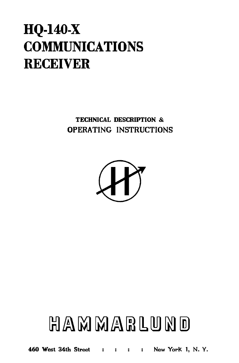## **HQ-140-X COMMUNICATIONS RECEIVER**

TECHNICAL DESCRIPTION & OPERATING INSTRUCTIONS



# HAMMARLUND

460 West 34th Street : : : : New York 1, N. Y.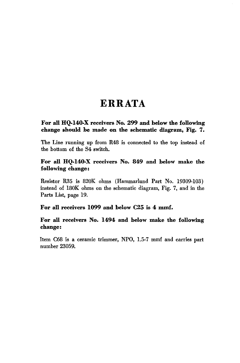## **ERRATA**

#### **For all HQ.140.X receivers No. 299 and below the following change should be made on the schematic diagram, Fig. 7.**

The Line running up from R48 is connected to the top instead of the bottom of the S4 switch.

#### **For all HQ.140·X receivers No. 849 and below make the following change:**

Resistor R35 is 820K ohms (Hammarlund Part No. 19309-103) instead of 180K ohms on the schematic diagram, Fig. 7, and in the Parts List, page 19.

#### **For all receivers 1099 and below C25 is 4 mmf.**

#### **For all receivers No. 1494 and below make the following change:**

Item C68 is a ceramic trimmer, NPO, 1.5-7 mmf and carries part number 23059.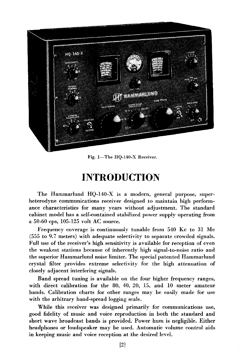

Fig. 1-The HQ-140-X Receiver.

## **INTRODUCTION**

The Hammarlund HQ-140-X is a modern, general purpose, superheterodyne communications receiver designed to maintain high performance characteristics for many years without adjustment. The standard cabinet model has a self-contained stabilized power supply operating from a 50-60 cps, 105-125 volt AC source.

Frequency coverage is continuously tunable from 540 Kc to 31 Mc (555 to 9.7 meters) with adequate selectivity to separate crowded signals. Full use of the receiver's high sensitivity is available for reception of even the weakest stations because of inherently high signal-to-noise ratio and the superior Hammarlund noise limiter. The special patented Hammarlund crystal filter provides extreme selectivity for the high attenuation of closely adjacent interfering signals.

Band spread tuning is available on the four higher frequency ranges, with direct calibration for the 80, 40, 20, 15, and 10 meter amateur bands. Calibration charts for other ranges may be easily made for use with the arbitrary band-spread logging scale.

While this receiver was designed primarily for communications use, good fidelity of music and voice reproduction in both the standard and short wave broadcast bands is provided. Power hum is negligible. Either headphones or loudspeaker may be used. Automatic volume control aids in keeping music and voice reception at the desired level.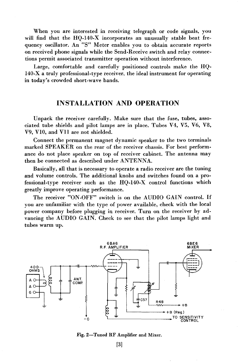When you are interested in receiving telegraph or code signals, you will find that the HQ-140-X incorporates an unusually stable beat frequency oscillator. An "5" Meter enables you to obtain accurate reports on received phone signals while the Send-Receive switch and relay connections permit associated transmitter operation without interference.

Large, comfortable and carefully positioned controls make the HQ-140-X a truly professional-type receiver, the ideal instrument for operating in today's crowded short-wave bands.

#### **INSTALLATION AND OPERATION**

Unpack the receiver carefully. Make sure that the fuse, tubes, associated tube shields and pilot lamps are in place. Tubes V4, V5, V6, V8, V9, VIO, and Vll are not shielded.

Connect the permanent magnet dynamic speaker to the two terminals marked SPEAKER on the rear of the receiver chassis. For best performance do not place speaker on top of receiver cabinet. The antenna may then be connected as described under ANTENNA.

Basically, all that is necessary to operate a radio receiver are the tuning and volume controls. The additional knohs and switches found on a professional-type receiver such as the HQ-140-X control functions which greatly improve operating performance.

The receiver "ON-OFF" switch is on the AUDIO GAIN control. If you are unfamiliar with the type of power availahle, check with the local power company hefore plugging in receiver. Turn on the receiver by advancing the AUDIO GAIN. Check to see that the pilot lamps light and tuhes warm up.



Fig. 2-Tuned RF Amplifier and Mixer.

[3]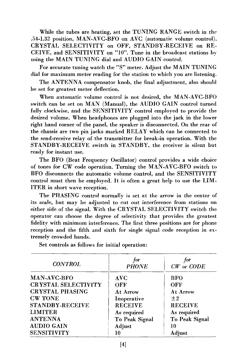While the tubes are heating, set the TUNING RANGE switch in the .54·1.32 position, MAN·A VC·BFO on A VC (automatic volume control), CRYSTAL SELECTIVITY on OFF, STANDBY·RECEIVE on RE· CEIVE, and SENSITIVITY on "10". Tune in the broadcast stations by using the MAIN TUNING dial and AUDIO GAIN control.

For accurate tuning watch the "S" meter. Adjust the MAIN TUNING dial for maximum meter reading for the station to which you are listening.

The ANTENNA compensator knob, the final adjustment, also should be set for greatest meter deflection.

When automatic volume control is not desired, the MAN·AVC·BFO switch can be set on MAN (Manual), the AUDIO GAIN control turned fully clockwise, and the SENSITIVITY control employed to provide the desired volume. When headphones are plugged into the jack in the lower right hand corner of the panel, the speaker is disconnected. On the rear of the chassis are two pin jacks marked RELAY which can be connected to the send·receive relay of the transmitter for break·in operation. With the STANDBY·RECEIVE switch in STANDBY, the receiver is silent but ready for instant use.

The BFO (Beat Frequency Oscillator) control provides a wide choice of tones for CW code operation. Turning the MAN·A VC·BFO switch to BFO disconnects the automatic volume control, and the SENSITIVITY control must then be employed. It is often a great help to use the LIM. ITER in short wave reception.

The PHASING control normally is set at the arrow in the center of its scale, but may be adjusted to cut out interference from stations on either side of the signal. With the CRYSTAL SELECTIVITY switch the operator can choose the degree of selectivity that provides the greatest fidelity with minimum interference. The first three positions are for phone reception and the fifth and sixth for single signal code reception in ex· tremely crowded bands.

| <b>CONTROL</b>             | for<br><b>PHONE</b> | for<br>$CW$ or $CODE$ |
|----------------------------|---------------------|-----------------------|
| MAN-AVC-BFO                | AVC                 | <b>BFO</b>            |
| <b>CRYSTAL SELECTIVITY</b> | OFF                 | OFF                   |
| <b>CRYSTAL PHASING</b>     | At Arrow            | At Arrow              |
| <b>CW TONE</b>             | Inoperative         | $\pm 2$               |
| <b>STANDBY-RECEIVE</b>     | <b>RECEIVE</b>      | <b>RECEIVE</b>        |
| <b>LIMITER</b>             | As required         | As required           |
| <b>ANTENNA</b>             | To Peak Signal      | To Peak Signal        |
| <b>AUDIO GAIN</b>          | Adjust              | 10                    |
| <b>SENSITIVITY</b>         | 10                  | Adiust                |

Set controls as follows for initial operation: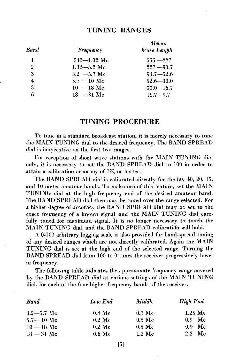#### **TUNING RANGES**

| <b>Band</b>    | Frequency        | <i>Meters</i><br>Wave Length |
|----------------|------------------|------------------------------|
| 1              | $.540 - 1.32$ Me | $555 - 227$                  |
| $\overline{2}$ | $1.32 - 3.2$ Me  | $227 - 93.7$                 |
| 3              | $3.2 -5.7$ Mc    | $93.7 - 52.6$                |
| 4              | $5.7 - 10$ Me    | $52.6 - 30.0$                |
| 5              | $10 - 18$ Me     | $30.0 - 16.7$                |
| 6              | $18 - 31$ Me     | $16.7 - 9.7$                 |

#### **TUNING PROCEDURE**

To tune in a standard broadcast station, it is merely necessary to tune the MAIN TUNING dial to the desired frequency. The BAND SPREAD dial is inoperative on the first two ranges.

For reception of short wave stations with the MAIN TUNING dial only, it is necessary to set the BAND SPREAD dial to 100 in order to attain a calibration accuracy of  $1\%$  or better.

The BAND SPREAD dial is calibrated directly for the 80, 40, 20, 15, and 10 meter amateur bands. To make use of this feature, set the MAIN TUNING dial at the high frequency end of the desired amateur band. The BAND SPREAD dial then may be tuned over the range selected. For a higher degree of accuracy the BAND SPREAD dial may be set to the exact frequency of a known signal and the MAIN TUNING dial carefully tuned for maximum signal. It is no longer necessary to touch the MAIN TUNING dial, and the BAND SPREAD calibratidn will hold.

A 0-100 arbitrary logging scale is also providcd for band-spread tuning of any desired ranges which are not directly calibrated. Again the MAIN TUNING dial is set at the high end of the selected range. Turning the BAND SPREAD dial from 100 to 0 tunes the receiver progressively lower in frequency.

The following table indicates the approximate frequency range covered by the BAND SPREAD dial at various settings of the MAIN TUNING dial, for each of the four higher frequency bands of the receiver.

| <b>Band</b>    | Low End              | <i>Middle</i>      | High End                 |
|----------------|----------------------|--------------------|--------------------------|
| $3.2 - 5.7$ Mc | $0.4 \text{ Mc}$     | $0.7 \text{ Mc}$   | $1.25 \text{ Mc}$        |
| $5.7 - 10$ Me  | $0.2 \, \mathrm{Mc}$ | $0.5\;\mathrm{Mc}$ | $0.9$ Mc                 |
| $10 - 18$ Mc   | $0.2 \text{ Mc}$     | $0.5 \text{ Mc}$   | - Mc<br>0.9 <sup>°</sup> |
| $18 - 31$ Mc   | $0.6\;\mathrm{Mc}$   | $1.2 \text{ Mc}$   | $2.2 \text{ Mc}$         |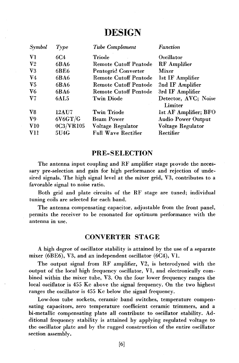## **DESIGN**

| <b>Symbol</b>  | Type         | Tube Complement              | Function                        |
|----------------|--------------|------------------------------|---------------------------------|
| V1             | 6C4          | Triode                       | Oscillator                      |
| V <sub>2</sub> | 6BA6         | <b>Remote Cutoff Pentode</b> | <b>RF</b> Amplifier             |
| V3             | 6BE6         | Pentogrid Converter          | Mixer                           |
| $V_{4}$        | 6BA6         | <b>Remote Cutoff Pentode</b> | 1st IF Amplifier                |
| V <sub>5</sub> | 6BA6         | Remote Cutoff Pentode        | 2nd IF Amplifier                |
| V6             | 6BA6         | Remote Cutoff Pentode        | 3rd IF Amplifier                |
| ${\bf V}7$     | 6AL5         | <b>Twin Diode</b>            | Detector, AVC; Noise<br>Limiter |
| V8             | <b>12AU7</b> | Twin Triode                  | 1st AF Amplifier; BFO           |
| V9.            | 6V6GT/G      | <b>Beam Power</b>            | <b>Audio Power Output</b>       |
| V10            | 0C3/VR105    | Voltage Regulator            | Voltage Regulator               |
| V11            | 5U4G         | <b>Full Wave Rectifier</b>   | Rectifier                       |

#### **PRE-SELECTION**

The antenna input coupling and RF amplifier stage provide the necessary pre-selection and gain for high performance and rejection of undesired signals. The high signal level at the mixer grid, V3, contributes to a favorable signal to noise ratio.

Botb grid and plate circuits of the RF stage are tuned; individual tuning coils are selected for each band.

The antenna compensating capacitor, adjustable from the front panel, permits the receiver to be resonated for optimum performance with the antenna in use.

#### **CONVERTER STAGE**

A high degree of oscillator stability is attained by the use of a separate mixer (6BE6), V3, and an independent oscillator (6C4), VI.

The output signal from RF amplifier, V2, is heterodyned with the output of the local high frequency oscillator, VI, and electronically combined within the mixer tube, V3. On thc four lower frequency ranges the local oscillator is 455 Kc above the signal frequency. On the two highest ranges the oscillator is 455 Kc below the signal frequency.

Low-loss tube sockets, ceramic band switches, temperature compensating capacitors, zero temperature coefficient ceramic trimmers, and a bi-metallic compensating plate all contribute to oscillator stability. Additional frequency stability is attained by applying regulated voltage to the oscillator plate and by the rugged construction of the entire oscillator section asscmbly.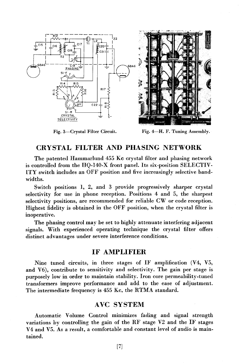



Fig. 3-Crystal Filter Circuit. Fig. 4-H. F. Tuning Assembly.

#### CRYSTAL FILTER AND PHASING NETWORK

The patented Hammarlund 455 Kc crystal filter and phasing network is controlled from the HQ-140-X front panel. Its six-position SELECTIV-ITY switch includes an OFF position and five increasingly selective bandwidths.

Switch positions 1, 2, and 3 provide progressively sharper crystal selectivity for use in phone reception. Positions 4 and 5, the sharpest selectivity positions, are recommended for reliable CW or code reception. Highest fidelity is obtained in the OFF position, when the crystal filter is inoperative.

The phasing control may be set to highly attenuate interfering adjacent signals. With experienced operating technique the crystal filter offers distinct advantages under severe interference conditions.

#### IF AMPLIFIER

Nine tuned circuits, in three stages of IF amplification  $(V4, V5,$ and V6), contribute to sensitivity and selectivity. The gain per stage is purposely low in order to maintain stability. Iron core permeability-tuned transformers improve performance and add to the ease of adjustment. The intermediate frequency is 455 Kc, the RTMA standard.

#### AVC SYSTEM

Automatic Volume Control minimizes fading and signal strength variations by controlling the gain of the RF stage V2 and the IF stages V4 and V5. As a result, a comfortable and constant level of audio is maintained.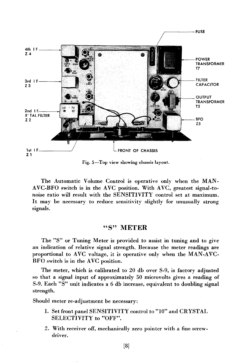

Fig. 5-Top view showing chassis layout.

The Automatic Volume Control is operative only when the MAN.  $AVC-BFO$  switch is in the  $AVC$  position. With  $AVC$ , greatest signal-tonoise ratio will result with the SENSITIVITY control set at maximum. It may be necessary to reduce sensitivity slightly for unusually strong signals.

#### "S" **METER**

The "S" or Tuning Meter is provided to assist in tuning and to give an indication of relative signal strength. Because the meter readings are proportional to AVC voltage, it is operative only when the MAN-AVC-BFO switch is in the AVC position.

The meter, which is calibrated to 20 db over S-9, is factory adjusted so that a signal input of approximately 50 microvolts gives a reading of S-9. Each "S" unit indicates a 6 db increase, equivalent to doubling signal strength.

Should meter re-adjustment be necessary:

- 1. Set front panel SENSITIVITY control to "10" and CRYSTAL SELECTIVITY to "OFF".
- 2. With receiver off, mechanically zero pointer with a fine screwdriver.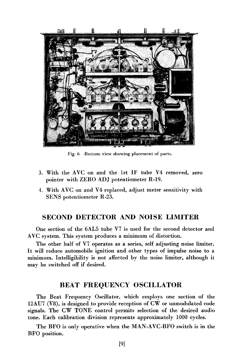

Fig. 6 - Bottom view showing placement of parts.

- 3. With the AVC on and the 1st IF tube V4 removed, zero pointer with ZERO ADJ potentiometer R-19.
- 4. With AVC on and V4 replaced, adjust meter sensitivity with SENS potentiometer R-23.

#### SECOND DETECTOR AND NOISE **LIMITER**

One section of the 6AL5 tube V7 is used for the second detector and AVC system. This system produces a minimum of distortion.

The other half of V7 operates as a series, self adjusting noise limiter. It will reduce automobile ignition and other types of impulse noise to a minimum. Intelligibility is not affected by the noise limiter, although it may be switched off if desired.

#### BEAT FREQUENCY OSCILLATOR

The Beat Frequency Oscillator, which employs one section of the  $12$ AU7 (V8), is designed to provide reception of  $\text{CW}$  or unmodulated code signals. The CW TONE control permits selection of the desired audio tone. Each calibration division represents approximately 1000 cycles.

The BFO is only operative when the MAN-AVC-BFO switch is in the BFO position.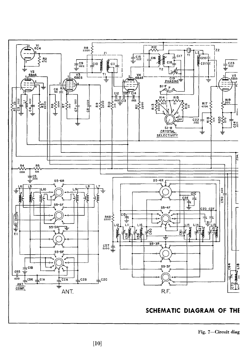

**SCHEMATIC DIAGRAM OF THE** 

Fig. 7-Circuit diag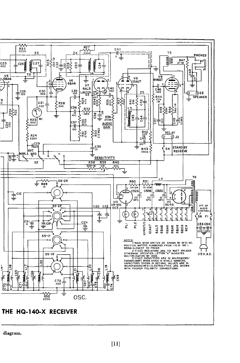

diagram.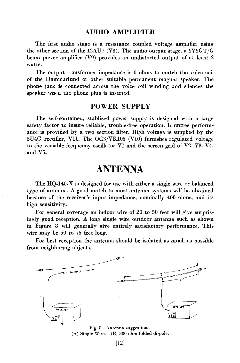#### **AUDIO AMPLIFIER**

The first audio stage is a resistance coupled voltage amplifier using the other section of the I2AU7 (V8). The audio output stage, a 6V6GT/G beam power amplifier (V9) provides an undistorted output of at least 2 watts.

The output transformer impedance is 6 ohms to match the voice coil of the Hammarlund or other suitable permanent magnet speaker. Thc phone jack is connected across the voice coil winding and silences the speaker when the phone plug is inserted.

#### **POWER SUPPLY**

Thc self-contained, stablized power supply is designed with a large safety factor to insure reliable, trouble-free operation. Humfree performance is provided by a two section filter. High voltage is supplied by the SU4G rectifier, VII. The OC3/VRIOS (VIO) furnishes regulated voltage to the variable frequency oscillator  $V1$  and the screen grid of  $V2$ ,  $V3$ ,  $V4$ , and VS.

## **ANTENNA**

The HQ-I40-X is designed for use with either a single wire or balanced type of antenna. A good match to most antenna systems will be obtained because of the receiver's input impedance, nominally 400 ohms, and its high sensitivity.

For general coverage an indoor wire of 20 to SO feet will give surprisingly good reception. A long single wire outdoor antenna such as shown in Figure 8 will generally give entirely satisfactory performance. This wire may be SO to 7S feet long.

For best reception the antenna should be isolated as much as possible from neighboring objects.



Fig. 8-Antenna suggestions. (A) Single Wire. (B) 300 ohm folded di-pole.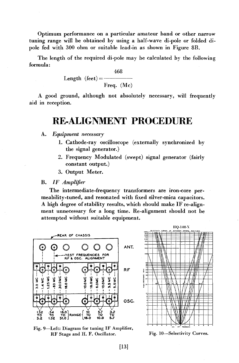Optimum performance on a particular amateur band or other narrow tuning range will be obtained by using a half-wave di-pole or folded dipole fed with 300 ohm or suitable lead-in as shown in Figure 8E.

The length of the required di-pole may be calculated by the following formula:

 $168$ 

Length (feet) = 
$$
\frac{468}{\text{Freq. (Mc)}}
$$

A good ground, although not absolutely necessary, will frequently aid in reception.

## **RE-ALIGNMENT PROCEDURE**

#### A. *Equipment necessary*

- 1. Cathode-ray oscilloscope (externally synchronized by the signal generator.)
- 2. Frequency Modulated (swept) signal generator (fairly constant output.)
- 3. Output Meter.

#### E. *IF Amplifier*

The intermediate-frequency transformers are iron-core permeability-tuned, and resonated with fixed silver-mica capacitors. A high degree of stability results, which should make IF re-alignment unnecessary for a long time. Re-alignment should not be attempted without suitable equipment.



Fig. 9-Left: Diagram for tuning IF Amplifier, RF Stage and H. F. Oscillator.

Fig. lO-Selectivity Curves.

/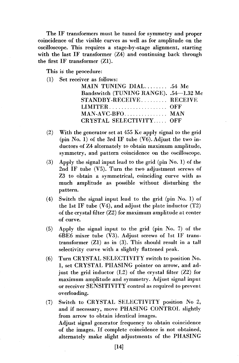The IF transformers must be tuned for symmetry and proper coincidence of the visible curves as well as for amplitude on the oscilloscope. This requires a stage-by-stage alignment, starting with the last IF transformer (Z4) and continuing back through the first IF transformer (ZI).

This is the procedure:

(1) Set receiver as follows:

| MAIN TUNING DIAL .54 Mc                |  |
|----------------------------------------|--|
| Bandswitch (TUNING RANGE). .54-1.32 Mc |  |
| STANDBY-RECEIVE RECEIVE                |  |
|                                        |  |
| MAN-AVC-BFO MAN                        |  |
| CRYSTAL SELECTIVITY OFF                |  |
|                                        |  |

- (2) With the generator set at 455 Kc apply signal to the grid (pin  $No. 1$ ) of the 3rd IF tube  $(V6)$ . Adjust the two inductors of Z4 alternately to obtain maximum amplitude, symmetry, and pattern coincidence on the oscilloscope.
- (3) Apply the signal input lead to the grid (pin No.1) of the 2nd IF tube  $(V5)$ . Turn the two adjustment screws of Z3 to obtain a symmetrical, coinciding curve with as much amplitude as possible without disturbing the pattern.
- (4) Switch the signal input lead to the grid (pin No.1) of the 1st IF tube  $(V4)$ , and adjust the plate inductor  $(T2)$ of the crystal filter  $(Z2)$  for maximum amplitude at center of curve.
- (5) Apply the signal input to the grid (pin No.7) of the 6BE6 mixer tube (V3). Adjust screws of 1st IF transtransformer (ZI) as in (3). This should result in a tall selectivity curve with a slightly flattened peak.
- (6) Turn CRYSTAL SELECTIVITY switch to position No. 1, set CRYSTAL PHASING pointer on arrow, and adjust the grid inductor (L2) of the crystal filter (Z2) for maximum amplitude and symmetry. Adjust signal input or receiver SENSITIVITY control as required to prevent overloading.
- (7) Switch to CRYSTAL SELECTIVITY position No 2, and if necessary, move PHASING CONTROL slightly from arrow to obtain identical images. Adjust signal generator frequency to obtain coincidence of the images. If complete coincidence is not obtained, alternately make slight adjustments of the PHASING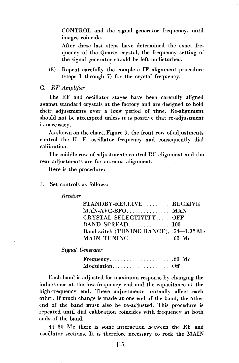CONTROL and the signal generator frequency, until images coincide.

After these last steps have determined the exact frequency of the Quartz crystal, the frequency setting of the signal generator should be left undisturbed.

- (8) Repeat carefully the complete IF alignment .procedure (steps 1 through 7) for the crystal frequency.
- C. *RF Amplifier*

The RF and oscillator stages have been carefully aligned against standard crystals at the factory and are designed to hold their adjustments over a long period of time. Re-alignment should not be attempted unless it is positive that re-adjustment is necessary.

As shown on the chart, Figure 9, the front row of adjustments control the H. F. oscillator frequency and consequently dial calibration.

The middle row of adjustments control RF alignment and the rear adjustments are for antenna alignment.

Here is the procedure:

1. Set controls as follows:

*Receiver* 

| STANDBY-RECEIVE RECEIVE                |  |
|----------------------------------------|--|
| MAN-AVC-BFO MAN                        |  |
| CRYSTAL SELECTIVITY OFF                |  |
| BAND SPREAD 100                        |  |
| Bandswitch (TUNING RANGE). .54-1.32 Mc |  |
|                                        |  |

*Signal Generator* 

| Modulation Off |  |  |  |  |  |  |  |  |  |  |
|----------------|--|--|--|--|--|--|--|--|--|--|

Each band is adjusted for maximum response by changing the inductance at the low-frequency end and the capacitance at the high-frequency end. These adjustments mutually affect each other. If much change is made at one end of the band, the other end of the band must also be re-adjusted. This procedure is repeated until dial calibration coincides with frequency at both ends of the band.

At 30 Mc there is some interaction between the RF and oscillator sections. It is therefore necessary to rock the MAIN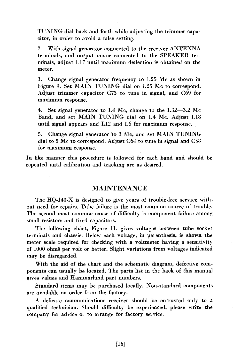TUNING dial back and forth while adjusting the trimmer capacitor, in order to avoid a false setting.

2. With signal generator connected to the receiver ANTENNA terminals, and output meter connected to the SPEAKER terminals, adjust L17 until maximum deflection is obtained on the meter.

3. Change signal generator frequency to 1.25 Mc as shown in Figure 9. Set MAIN TUNING dial on 1.25 Mc to correspond. Adjust trimmer capacitor C73 to tune in signal, and C69 for maximum response.

4. Set signal generator to 1.4 Mc, change to the 1.32-3.2 Mc Band, and set MAIN TUNING dial on 1.4 Mc. Adjust LI8 until signal appears and L12 and L6 for maximum response.

5. Change signal generator to 3 Mc, and set MAIN TUNING dial to 3 Mc to correspond. Adjust C64 to tune in signal and C58 for maximum response.

In like manner this procedure is followed for each band and should be repeated until calibration and tracking are as deaired.

#### MAINTENANCE

The HQ-140-X is designed to give years of trouble-free service without need for repairs. Tube failure is the most common source of trouble. The second most common cause of difficulty is component failure among small resistors and fixed capacitors.

The following chart, Figure 11, gives voltages between tube socket terminals and chassis. Below each voltage, in parenthesis, is shown the meter scale required for checking with a voltmeter having a sensitivity of 1000 ohms per volt or better. Slight variations from voltages indicated may be disregarded.

With the aid of the chart and the schematic diagram, defective components can usually be located. The parts list in the back of this manual gives values and Hammarlund part numbers.

Standard items may be purchased locally. Non-standard components are available on order from the factory.

A delicate communications receiver should be entrusted only to a qualified technician. Should difficulty be experienced, please write the company for advice or to arrange for factory service.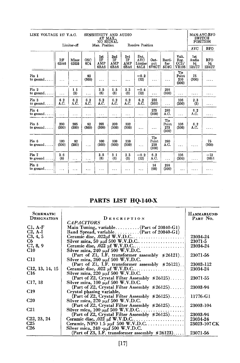| LINE VOLTAGE 117 V.A.C.         |              |               | SENSITIVITY AND AUDIO<br>AT MAX.,<br>NO SIGNAL |                                   |                          |                          |                                       |                                       |                                     |                                | MAN-AVC-BFO<br><b>SWITCH</b><br><b>POSITION</b> |                                                |
|---------------------------------|--------------|---------------|------------------------------------------------|-----------------------------------|--------------------------|--------------------------|---------------------------------------|---------------------------------------|-------------------------------------|--------------------------------|-------------------------------------------------|------------------------------------------------|
|                                 |              | Limiter-off   |                                                | Man. Position<br>Receive Position |                          |                          |                                       |                                       |                                     | <b>AVC</b>                     | <b>BFO</b>                                      |                                                |
|                                 | RF<br>6BA6   | Mixer<br>6BE6 | <b>OSC</b><br>6C4                              | 1st<br>IF<br>AMP<br>6BA6          | 2nd<br>IF<br>AMP<br>6BA6 | 3rd<br>IF<br>AMP<br>6BA6 | Det.<br><b>AVC</b><br>Limiter<br>6AL5 | Out-<br>put<br>$6\bar{V}6\mathrm{GT}$ | Recti-<br>fier<br>5U4G              | Volt.<br>Reg.<br>OC3/<br>VR105 | 1st<br>Audio<br>⅓<br>12AU7                      | <b>BFO</b><br>$\frac{1}{12}$ <sub>12</sub> AU7 |
| Pin 1<br>to ground.             | .            | $\cdots$      | 92<br>(300)                                    | .                                 | .                        |                          | $-0.2$<br>(12)                        | $\cdots$                              | .                                   | Tie<br>Point<br>210<br>(300)   | 75<br>(300)                                     |                                                |
| Pin 2<br>to ground.             | $\cdots$     | 1.1<br>(3)    | .                                              | 3.5<br>(6)                        | 1.5<br>(3)               | 2.3<br>(3)               | $-0.4$<br>(12)                        | .                                     | 298<br>(300)                        | .                              | .                                               | .                                              |
| Pin <sub>3</sub><br>to ground   | 6.2<br>A.C.  | 6.2<br>A.C.   | 6.2<br>A.C.                                    | 6.2<br>A.C.                       | 6.2<br>A.C.              | 6.2<br>A.C.              | 6.2<br>A.C.                           | 256<br>(300)                          | .                                   | 106<br>(300)                   | 2.3<br>(3)                                      | .                                              |
| Pin 4<br>to ground              | $\cdots$     | $\cdots$      | .                                              | .                                 | $\sim$                   | $\cdots$                 | $\ddotsc$                             | 273<br>(300)                          | 280<br>A.C.                         | $\ddotsc$                      | 6.2<br>A.C.                                     | .                                              |
| Pin 5<br>to ground              | 200<br>(300) | 205<br>(300)  | 92<br>(300)                                    | 203<br>(300)                      | 200<br>(300)             | 192<br>(300)             | $\ddotsc$                             | .                                     | <b>Tie</b><br>Point<br>273<br>(300) | 106<br>(300)                   | 6.2<br>A.C.                                     |                                                |
| Pin 6<br>to ground              | 100<br>(300) | 92<br>(300)   | $\cdots$                                       | 100<br>(300)                      | 100<br>(300)             | 110<br>(300)             | $\cdots$                              | Tie<br>Point<br>210<br>(300)          | 280<br>A.C.                         | .                              | .                                               | 75<br>(300)                                    |
| Pin 7<br>to ground.<br>$\cdots$ | 3.6<br>(6)   | .             | $\cdots$                                       | 3.5<br>(6)                        | 3.1<br>(6)               | 2.3<br>(3)               | $-0.2$<br>(12)                        | 6.2<br>A.C.                           | .                                   | 106<br>(300)                   | .                                               | $-13$<br>(60)                                  |
| Pin 8<br>to ground              | .            | .             | .                                              |                                   | .                        |                          | .                                     | 14<br>(60)                            | 298<br>(300)                        | $\ddotsc$                      |                                                 |                                                |

## **PARTS LIST HQ.140.X**

| <b>SCHEMATIC</b>     |                                                                                | <b>HAMMARLUND</b> |
|----------------------|--------------------------------------------------------------------------------|-------------------|
| DESIGNATION          | DESCRIPTION                                                                    | PART NO.          |
|                      | <b>CAPACITORS</b>                                                              |                   |
| $C1. A-F$            | Main Tuning, variable (Part of $20840 - G1$ )                                  |                   |
| $C2, A-I$            | Band Spread, variable (Part of 20840-G1)                                       |                   |
| C3, 4, 5             |                                                                                | 23034-24          |
| C6                   |                                                                                | 23071-5           |
| C7, 8, 9             |                                                                                | 23034-24          |
| C10                  | Silver mica, 240 $\mu$ $\mu$ f 500 W.V.D.C.                                    |                   |
|                      | (Part of Z1, I.F. transformer assembly $\frac{1}{26121}$ ).                    | 23071-56          |
| C11                  | Silver mica, $260 \mu\mu f 500 \text{ W.V.D.C.}$                               |                   |
|                      | (Part of Zl, I.F. transformer assembly $*26121$ ).                             | 23003-112         |
| C12, 13, 14, 15      |                                                                                | 23034-24          |
| C16                  | Silver mica, 220 $\mu\mu$ f 500 W.V.D.C.                                       |                   |
|                      | (Part of Z2, Crystal Filter Assembly #26125)                                   | 23071-55          |
| C <sub>17</sub> , 18 | Silver mica, $100 \mu\text{mf}$ 500 W.V.D.C.                                   |                   |
|                      | (Part of Z2, Crystal Filter Assembly $\frac{1}{26125}$ )                       | 23003-94          |
| <b>C19</b>           | Crystal phasing variable,                                                      |                   |
|                      | (Part of Z2, Crystal Filter Assembly $\frac{1}{2}$ 26125)                      | 11776-G1          |
| C20                  | Silver mica, 270 $\mu$ $\mu$ f 500 W.V.D.C.                                    |                   |
|                      | (Part of Z2, Crystal Filter Assembly #26125)                                   | 23003-104         |
| C21                  | Silver mica, $100 \mu\mu f 500 \text{ W.V.D.C.} \dots \dots \dots \dots \dots$ |                   |
|                      | (Part of Z2, Crystal Filter Assembly $\frac{1}{2}$ 26125)                      | 23003-94          |
| C22, 23, 24          |                                                                                | 23034-24          |
| <b>C25</b>           |                                                                                | 23023-107 CK      |
| <b>C26</b>           | Silver mica, $240 \cdot \mu \mu f$ 500 W.V.D.C.                                |                   |
|                      | (Part of Z3, I.F. transformer assembly $\frac{1}{2}$ 26123)                    | 23071-56          |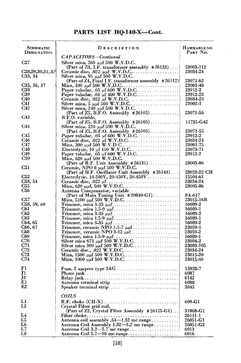## **PARTS LIST HQ-140-X-Cont.**

| <b>SCHEMATIC</b><br>DESIGNATION  | DESCRIPTION                                                                          | HAMMARLUND<br>Part No. |
|----------------------------------|--------------------------------------------------------------------------------------|------------------------|
|                                  | CAPACITORS-Continued                                                                 |                        |
| C27                              | Silver mica, $260 \mu\mu$ f 500 W.V.D.C.                                             |                        |
|                                  | (Part of Z3, I.F. transformer assembly $\frac{1}{2}$ 26123)                          | 23003-112              |
| C <sub>28</sub> , 29, 30, 31, 32 |                                                                                      | 23034-24               |
| C33, 34                          | Ceramic disc, .022 $\mu$ t W.V.D.C.<br>Silver mica, 95 $\mu$ t 500 W.V.D.C.          |                        |
|                                  | (Part of Z4, Final I.F. transformer assembly #26112)                                 | 23071-62               |
| C35, 36, 37                      |                                                                                      | 23001-48               |
| C38                              |                                                                                      | 23912-2                |
| C39                              | Paper tubular, .01 $\mu$ f 400 W.V.D.C                                               | 23912-23               |
| C40                              |                                                                                      | 23034-24               |
| C41                              |                                                                                      | 23002-1                |
| <b>C42</b>                       | Silver mica, $240 \mu$ g 500 W.V.D.C.                                                |                        |
|                                  | (Part of Z5, B.F.O. Assembly $\#26105$ )                                             | 23071-56               |
| C43                              | B.F.O. variable,                                                                     |                        |
| C44                              | (Part of Z5, B.F.O. Assembly $\#26105$ )                                             | 11735-G42              |
|                                  | Silver mica, 220 $\mu$ af 500 W.V.D.C.<br>(Part of $Z5$ , B.F.O. Assembly $*26105$ ) | 23071-55               |
| C45                              |                                                                                      | 23912-2                |
| C46                              |                                                                                      | 23034-24               |
| C47                              |                                                                                      | 23001-75               |
| C48                              |                                                                                      | 23073-71               |
| C49                              | Paper tubular, .05 $\mu$ f 600 W.V.D.C                                               | 23912-2                |
| <b>C50</b>                       | Mica, 620 μμf 500 W.V.D.C.                                                           |                        |
|                                  | (Part of R.F. Unit Assembly $\frac{1}{26131}$ )                                      | 23005-86               |
| C51                              | Ceramic, NPO 8 $\mu\mu$ f 500 W.V.D.C.                                               |                        |
|                                  | (Part of H.F. Oscillator Unit Assembly #26143)                                       | 23023-22 CH            |
| C52                              | Electrolytic, 10-500V, 20-450V, 20-450V.                                             | 15504-61               |
| C53, 54                          |                                                                                      | 23034-24               |
| C55                              |                                                                                      | 23005-86               |
| <b>C56</b>                       | Antenna Compensator, variable                                                        |                        |
|                                  |                                                                                      | SA-617                 |
| C57                              |                                                                                      | 23015-16B              |
| C58, 59, 60                      |                                                                                      | 16089-2                |
| C61                              |                                                                                      | 16089-1                |
| C62<br>C63                       |                                                                                      | 16089-2<br>16089-1     |
| C64, 65                          |                                                                                      | 16089-2                |
| C66, 67                          | Trimmer, ceramic NPO 1.5-7 $\mu\mu f$                                                | 23059-1                |
| C68                              |                                                                                      | 23059-2                |
| C69                              |                                                                                      | 16089-1                |
| C70                              |                                                                                      | 23004-2                |
| C71                              |                                                                                      | 23003-105              |
| C <sub>72</sub>                  |                                                                                      | 23034-24               |
| C <sub>73</sub>                  |                                                                                      | 23015-20               |
| C74                              |                                                                                      | 23015-40               |
| F1                               |                                                                                      |                        |
|                                  |                                                                                      | 15928-7                |
| п<br>J2                          |                                                                                      | 6087                   |
| E1                               |                                                                                      | 6142<br>6088           |
| E2                               | Antenna terminal strip                                                               | 3843                   |
|                                  |                                                                                      |                        |
|                                  | <b>COILS</b>                                                                         |                        |
| Ll                               |                                                                                      | 609-G1                 |
| L <sub>2</sub>                   | Crystal Filter grid coil,                                                            |                        |
|                                  | (Part of Z2, Crystal Filter Assembly #26125-G1)                                      | 31068-G1               |
| L4                               |                                                                                      | 26111-1                |
| L5                               | Antenna coil assembly .54-1.32 mc range                                              | 26051-G1               |
| L6                               | Antenna Coil Assembly 1.32-3.2 mc range                                              | 26051-G2               |
| L7                               |                                                                                      | 6013                   |
| L8                               | Antenna Coil 5.7-10 mc range                                                         | 6016                   |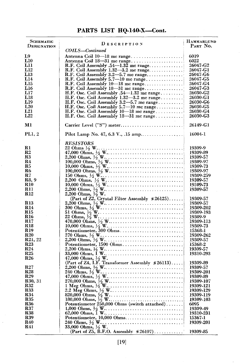## **PARTS LIST HQ.140.X-Cont.**

| SCHEMATIC<br>DESIGNATION | DESCRIPTION                                                                                                                                                                              | <b>HAMMARLUND</b><br>PART NO. |
|--------------------------|------------------------------------------------------------------------------------------------------------------------------------------------------------------------------------------|-------------------------------|
|                          | COILS—Continued                                                                                                                                                                          |                               |
| L9                       |                                                                                                                                                                                          | 6019                          |
| L10                      | Antenna Coil 18-31 mc range                                                                                                                                                              | 6022                          |
| L11                      | R.F. Coil Assembly .54—1.32 mc range                                                                                                                                                     | 26047-G2                      |
| L12                      | R.F. Coil Assembly $1.32 - 3.2$ and range                                                                                                                                                | 26047-G1                      |
| L13                      |                                                                                                                                                                                          | 26047-G6                      |
| L14<br>L <sub>15</sub>   | R.F. Coil Assembly 10-18 mc range                                                                                                                                                        | 26047-G5<br>26047-G4          |
| L16                      | R.F. Coil Assembly 18-31 mc range                                                                                                                                                        | 26047-G3                      |
| L17                      | H.F. Osc. Coil Assembly .54—1.32 mc range                                                                                                                                                | 26030-G2                      |
| L18                      | H.F. Osc. Coil Assembly 1.32-3.2 mc range                                                                                                                                                | 26030-G1                      |
| L19                      |                                                                                                                                                                                          | 26030-G6                      |
| $L_{20}$                 |                                                                                                                                                                                          | 26030-G5                      |
| L21                      | H.F. Osc. Coil Assembly 10-18 mc range                                                                                                                                                   | 26030-G4                      |
| L22                      | H.F. Osc. Coil Assembly $18-31$ mc range $\dots\dots\dots$                                                                                                                               | 26030-G3                      |
|                          |                                                                                                                                                                                          |                               |
| Ml                       |                                                                                                                                                                                          | 26149-G1                      |
| PL1.2                    |                                                                                                                                                                                          | 16004-1                       |
|                          | RESISTORS                                                                                                                                                                                |                               |
| R1                       |                                                                                                                                                                                          | 19309-9                       |
| R2                       |                                                                                                                                                                                          | 19309-89                      |
| R3                       |                                                                                                                                                                                          | 19309-57                      |
| R4                       |                                                                                                                                                                                          | 19309-97                      |
| R <sub>5</sub>           |                                                                                                                                                                                          | 19309-73                      |
| R6                       |                                                                                                                                                                                          | 19309-97                      |
| $\mathbf{R}7$            |                                                                                                                                                                                          | 19309-259                     |
| R8, 9                    |                                                                                                                                                                                          | 19309-57                      |
| $_{\rm R10}$             |                                                                                                                                                                                          | 19309-73                      |
| R <sub>11</sub>          |                                                                                                                                                                                          | 19309-57                      |
| <b>R12</b>               |                                                                                                                                                                                          |                               |
| R13                      | (Part of Z2, Crystal Filter Assembly #26125)                                                                                                                                             | 19309-57                      |
| <b>R14</b>               |                                                                                                                                                                                          | 19309-57<br>19309-202         |
| R15                      | 2.200 Ohms, $\frac{1}{2}$ W.<br>300 Ohms, $\frac{1}{2}$ W.<br>51 Ohms, $\frac{1}{2}$ W.<br>51 Ohms, $\frac{1}{2}$ W.<br>470,000 Ohms, $\frac{1}{2}$ W.<br>470,000 Ohms, $\frac{1}{2}$ W. | 19309-193                     |
| <b>R16</b>               |                                                                                                                                                                                          | 19309-9                       |
| <b>R17</b>               |                                                                                                                                                                                          | 19309-113                     |
| R18                      |                                                                                                                                                                                          | 19309-73                      |
| <b>R19</b>               |                                                                                                                                                                                          | 15368-1                       |
| R <sub>20</sub>          |                                                                                                                                                                                          | 19309-262                     |
| R21, 22                  |                                                                                                                                                                                          | 19309-57                      |
| <b>R23</b>               | Potentiometer, 1500 Ohms                                                                                                                                                                 | 15368-2                       |
| <b>R24</b>               |                                                                                                                                                                                          | 19309-57                      |
| R25                      |                                                                                                                                                                                          | 19310-293                     |
| <b>R26</b>               |                                                                                                                                                                                          |                               |
|                          | 47,000 Ohms, $\frac{1}{2}$ W.<br>(Part of Z4, I.F. Transformer Assembly $*26113$ )                                                                                                       | 19309-89                      |
| R27                      |                                                                                                                                                                                          | 19309-57                      |
| <b>R28</b>               |                                                                                                                                                                                          | 19309-201                     |
| <b>R29</b>               |                                                                                                                                                                                          | 19309-89                      |
| R30, 31                  |                                                                                                                                                                                          | 19309-107                     |
| <b>R32</b>               |                                                                                                                                                                                          | 19309-121                     |
| <b>R33</b>               |                                                                                                                                                                                          | 19309-129                     |
| <b>R34</b>               |                                                                                                                                                                                          | 19309-119                     |
| <b>R35</b>               |                                                                                                                                                                                          | 19309-103                     |
| <b>R36</b>               | Potentiometer 250,000 Ohms (switch attached)                                                                                                                                             | 6095                          |
| <b>R37</b><br><b>R38</b> |                                                                                                                                                                                          | 19309-49                      |
| <b>R39</b>               |                                                                                                                                                                                          | 19310-231                     |
| R40                      | Potentiometer, 10,000 Ohms                                                                                                                                                               | 15367-1                       |
| R41                      |                                                                                                                                                                                          | 19309-201                     |
|                          | (Part of Z5, B.F.O. Assembly \$26107)                                                                                                                                                    | 19309-85                      |